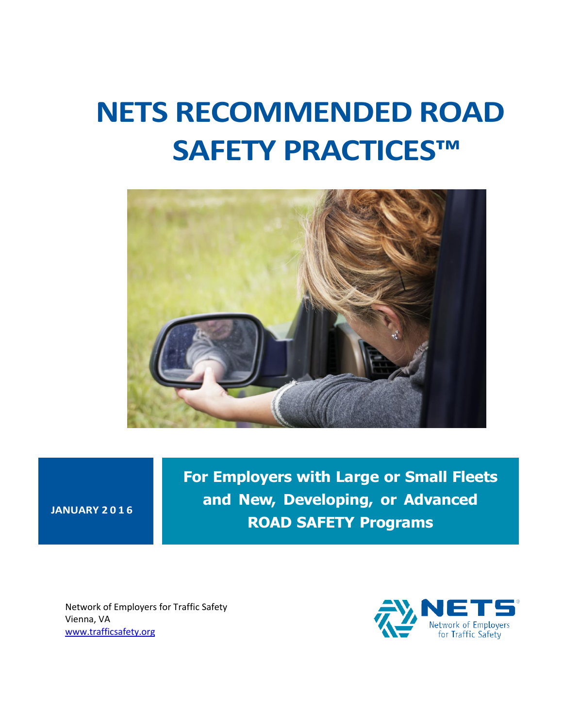# **NETS RECOMMENDED ROAD SAFETY PRACTICES™**



**JANUARY 201 6**

**For Employers with Large or Small Fleets and New, Developing, or Advanced ROAD SAFETY Programs**

Network of Employers for Traffic Safety Vienna, VA [www.trafficsafety.org](http://www.trafficsafety.org/)

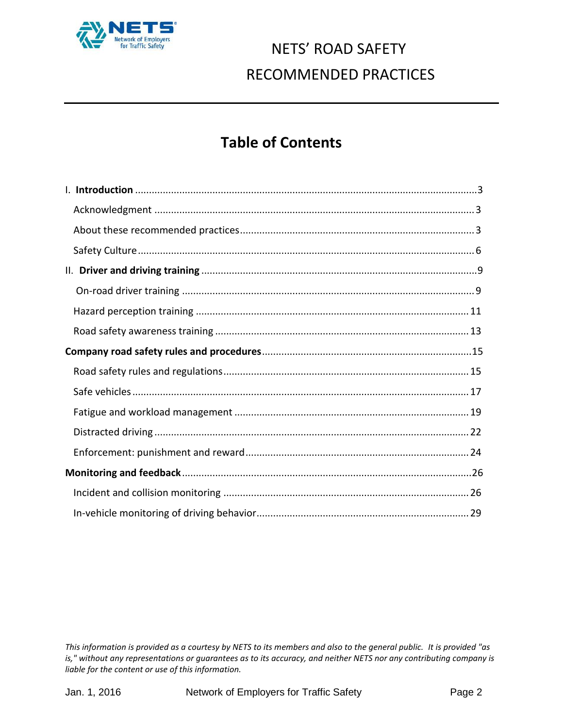

### **Table of Contents**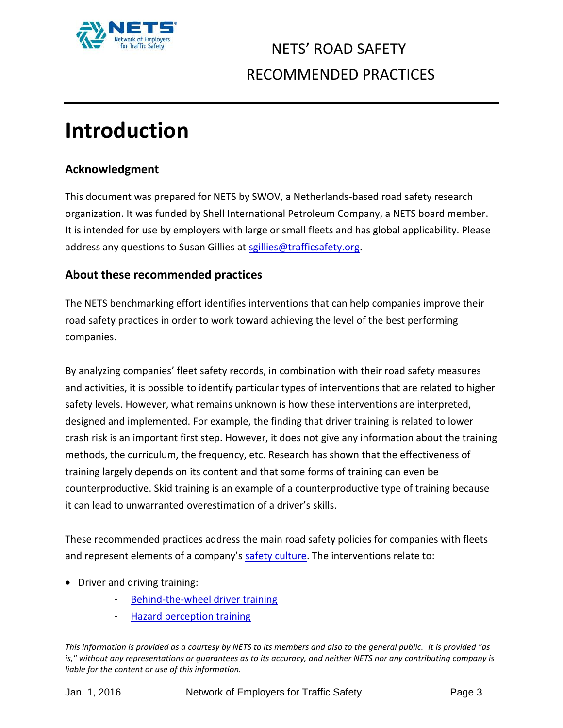

# <span id="page-2-0"></span>**Introduction**

#### <span id="page-2-1"></span>**Acknowledgment**

This document was prepared for NETS by SWOV, a Netherlands-based road safety research organization. It was funded by Shell International Petroleum Company, a NETS board member. It is intended for use by employers with large or small fleets and has global applicability. Please address any questions to Susan Gillies at [sgillies@trafficsafety.org.](mailto:sgillies@trafficsafety.org)

#### <span id="page-2-2"></span>**About these recommended practices**

The NETS benchmarking effort identifies interventions that can help companies improve their road safety practices in order to work toward achieving the level of the best performing companies.

By analyzing companies' fleet safety records, in combination with their road safety measures and activities, it is possible to identify particular types of interventions that are related to higher safety levels. However, what remains unknown is how these interventions are interpreted, designed and implemented. For example, the finding that driver training is related to lower crash risk is an important first step. However, it does not give any information about the training methods, the curriculum, the frequency, etc. Research has shown that the effectiveness of training largely depends on its content and that some forms of training can even be counterproductive. Skid training is an example of a counterproductive type of training because it can lead to unwarranted overestimation of a driver's skills.

These recommended practices address the main road safety policies for companies with fleets and represent elements of a company's [safety culture.](#page-5-0) The interventions relate to:

- Driver and driving training:
	- [Behind-the-wheel](#page-8-1) driver training
	- **Hazard perception training**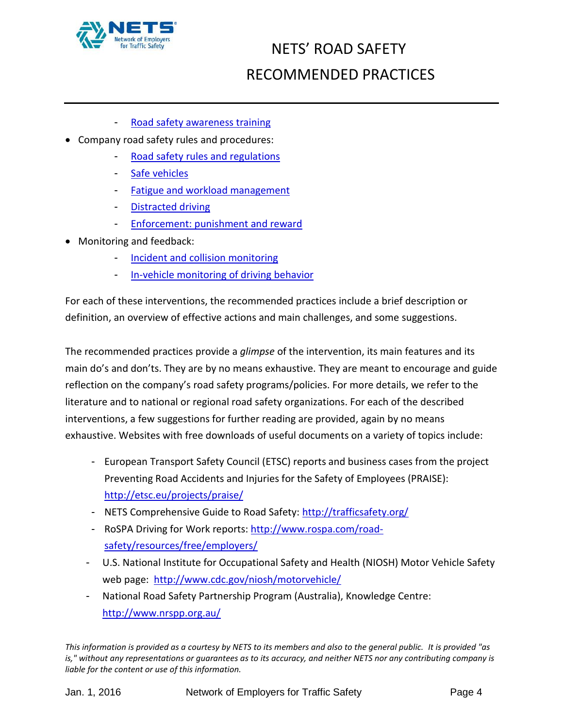

- [Road safety awareness training](#page-12-0)
- Company road safety rules and procedures:
	- [Road safety rules](#page-14-1) and regulations
	- [Safe vehicles](#page-16-0)
	- [Fatigue and workload management](#page-18-0)
	- [Distracted driving](#page-21-0)
	- [Enforcement: punishment and reward](#page-22-0)
- Monitoring and feedback:
	- [Incident and collision monitoring](#page-25-1)
	- [In-vehicle monitoring of driving behavior](#page-27-0)

For each of these interventions, the recommended practices include a brief description or definition, an overview of effective actions and main challenges, and some suggestions.

The recommended practices provide a *glimpse* of the intervention, its main features and its main do's and don'ts. They are by no means exhaustive. They are meant to encourage and guide reflection on the company's road safety programs/policies. For more details, we refer to the literature and to national or regional road safety organizations. For each of the described interventions, a few suggestions for further reading are provided, again by no means exhaustive. Websites with free downloads of useful documents on a variety of topics include:

- European Transport Safety Council (ETSC) reports and business cases from the project Preventing Road Accidents and Injuries for the Safety of Employees (PRAISE): <http://etsc.eu/projects/praise/>
- NETS Comprehensive Guide to Road Safety:<http://trafficsafety.org/>
- RoSPA Driving for Work reports[: http://www.rospa.com/road](http://www.rospa.com/road-safety/resources/free/employers/)[safety/resources/free/employers/](http://www.rospa.com/road-safety/resources/free/employers/)
- U.S. National Institute for Occupational Safety and Health (NIOSH) Motor Vehicle Safety web page: <http://www.cdc.gov/niosh/motorvehicle/>
- National Road Safety Partnership Program (Australia), Knowledge Centre: <http://www.nrspp.org.au/>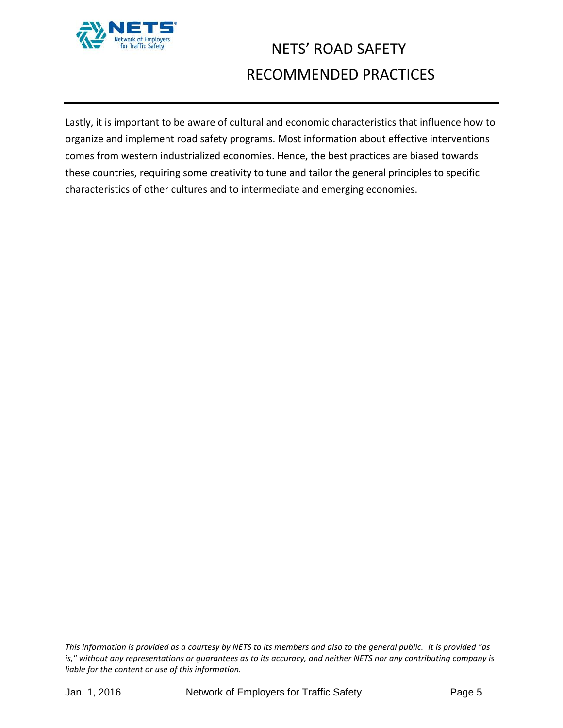

Lastly, it is important to be aware of cultural and economic characteristics that influence how to organize and implement road safety programs. Most information about effective interventions comes from western industrialized economies. Hence, the best practices are biased towards these countries, requiring some creativity to tune and tailor the general principles to specific characteristics of other cultures and to intermediate and emerging economies.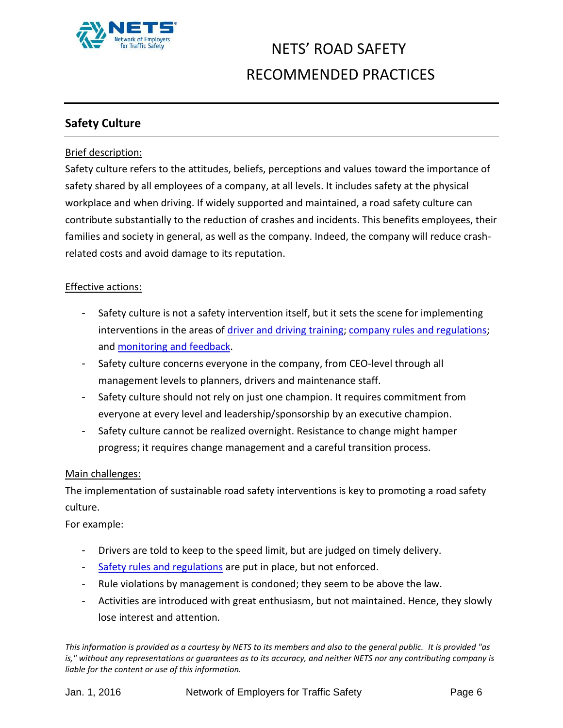

#### <span id="page-5-0"></span>**Safety Culture**

#### Brief description:

Safety culture refers to the attitudes, beliefs, perceptions and values toward the importance of safety shared by all employees of a company, at all levels. It includes safety at the physical workplace and when driving. If widely supported and maintained, a road safety culture can contribute substantially to the reduction of crashes and incidents. This benefits employees, their families and society in general, as well as the company. Indeed, the company will reduce crashrelated costs and avoid damage to its reputation.

#### Effective actions:

- Safety culture is not a safety intervention itself, but it sets the scene for implementing interventions in the areas of [driver and driving training;](#page-8-0) [company rules and regulations;](#page-14-0) and monitoring [and feedback.](#page-25-0)
- Safety culture concerns everyone in the company, from CEO-level through all management levels to planners, drivers and maintenance staff.
- Safety culture should not rely on just one champion. It requires commitment from everyone at every level and leadership/sponsorship by an executive champion.
- Safety culture cannot be realized overnight. Resistance to change might hamper progress; it requires change management and a careful transition process.

#### Main challenges:

The implementation of sustainable road safety interventions is key to promoting a road safety culture.

For example:

- Drivers are told to keep to the speed limit, but are judged on timely delivery.
- [Safety rules and regulations](#page-14-1) are put in place, but not enforced.
- Rule violations by management is condoned; they seem to be above the law.
- Activities are introduced with great enthusiasm, but not maintained. Hence, they slowly lose interest and attention*.*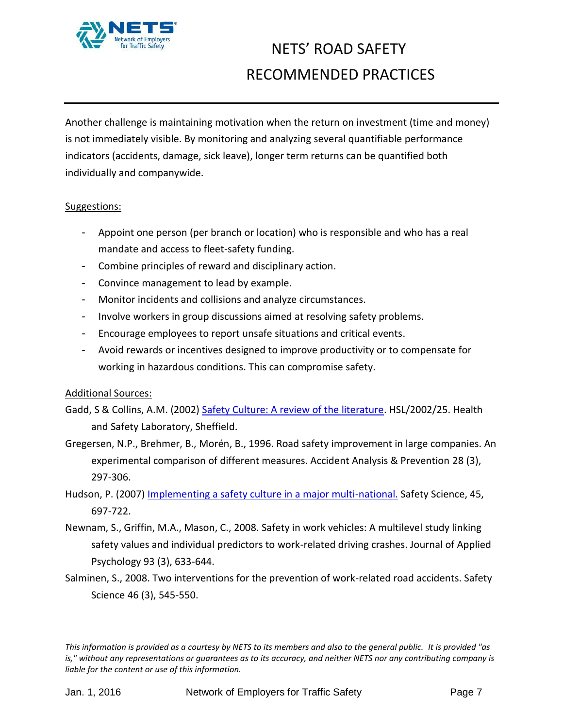

Another challenge is maintaining motivation when the return on investment (time and money) is not immediately visible. By monitoring and analyzing several quantifiable performance indicators (accidents, damage, sick leave), longer term returns can be quantified both individually and companywide.

#### Suggestions:

- Appoint one person (per branch or location) who is responsible and who has a real mandate and access to fleet-safety funding.
- Combine principles of [reward and d](#page-22-0)isciplinary action.
- Convince management to lead by example.
- Monitor [incidents and c](#page-25-1)ollisions and analyze circumstances.
- Involve workers in group discussions aimed at resolving safety problems.
- Encourage employees to report unsafe situations and critical events.
- Avoid rewards or incentives designed to improve productivity or to compensate for working in hazardous conditions. This can compromise safety.

#### Additional Sources:

- Gadd, S & Collins, A.M. (2002[\) Safety Culture: A review of the literature.](http://www.hse.gov.uk/research/hsl_pdf/2002/hsl02-25.pdf) HSL/2002/25. Health and Safety Laboratory, Sheffield.
- Gregersen, N.P., Brehmer, B., Morén, B., 1996. Road safety improvement in large companies. An experimental comparison of different measures. Accident Analysis & Prevention 28 (3), 297-306.
- Hudson, P. (2007) [Implementing a safety culture in a major multi-national.](http://www.dongenergysupplierdays.siteworks.dk/cgi-files/mdmgfx/file-915-312657-13047.pdf) Safety Science, 45, 697-722.
- Newnam, S., Griffin, M.A., Mason, C., 2008. Safety in work vehicles: A multilevel study linking safety values and individual predictors to work-related driving crashes. Journal of Applied Psychology 93 (3), 633-644.
- Salminen, S., 2008. Two interventions for the prevention of work-related road accidents. Safety Science 46 (3), 545-550.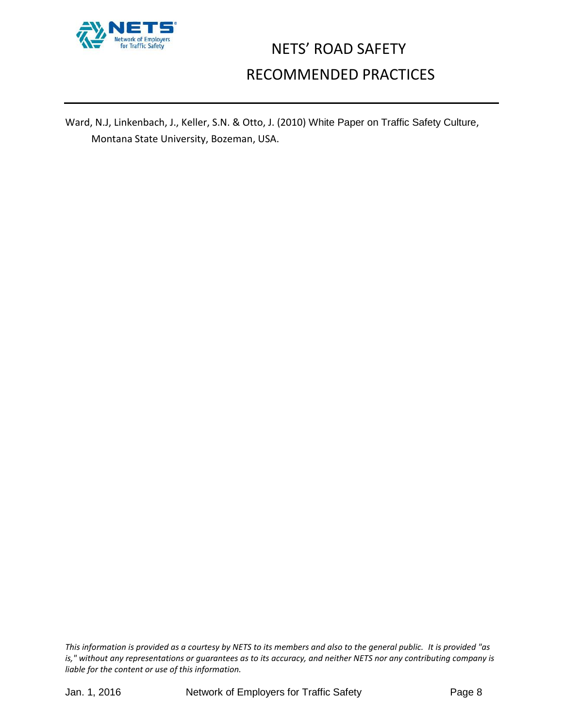

Ward, N.J, Linkenbach, J., Keller, S.N. & Otto, J. (2010) White Paper on Traffic Safety Culture, Montana State University, Bozeman, USA.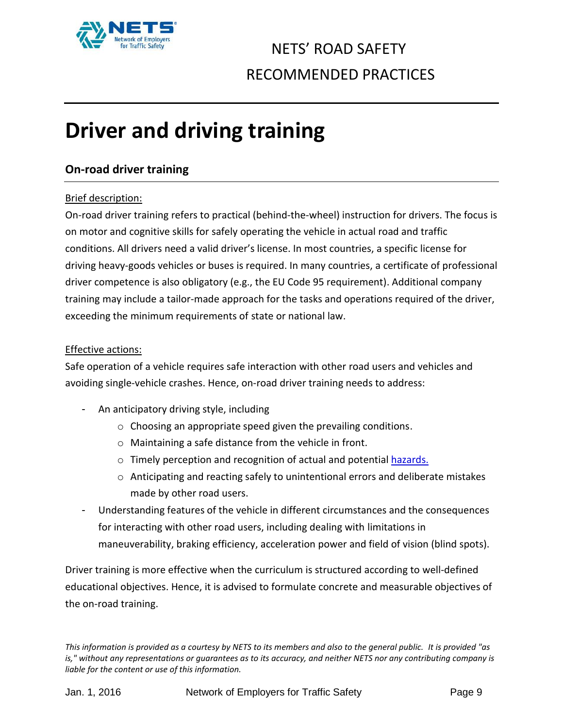

# <span id="page-8-0"></span>**Driver and driving training**

#### <span id="page-8-1"></span>**On-road driver training**

#### Brief description:

On-road driver training refers to practical (behind-the-wheel) instruction for drivers. The focus is on motor and cognitive skills for safely operating the vehicle in actual road and traffic conditions. All drivers need a valid driver's license. In most countries, a specific license for driving heavy-goods vehicles or buses is required. In many countries, a certificate of professional driver competence is also obligatory (e.g., the EU Code 95 requirement). Additional company training may include a tailor-made approach for the tasks and operations required of the driver, exceeding the minimum requirements of state or national law.

#### Effective actions:

Safe operation of a vehicle requires safe interaction with other road users and vehicles and avoiding single-vehicle crashes. Hence, on-road driver training needs to address:

- An anticipatory driving style, including
	- $\circ$  Choosing an appropriate speed given the prevailing conditions.
	- o Maintaining a safe distance from the vehicle in front.
	- o Timely perception and recognition of actual and potential [hazards.](#page-9-0)
	- o Anticipating and reacting safely to unintentional errors and deliberate mistakes made by other road users.
- Understanding features of the vehicle in different circumstances and the consequences for interacting with other road users, including dealing with limitations in maneuverability, braking efficiency, acceleration power and field of vision (blind spots).

Driver training is more effective when the curriculum is structured according to well-defined educational objectives. Hence, it is advised to formulate concrete and measurable objectives of the on-road training.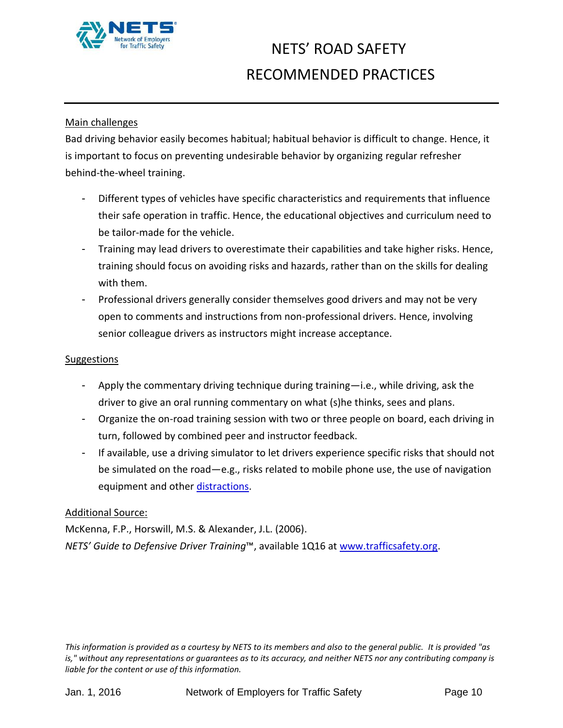

#### Main challenges

Bad driving behavior easily becomes habitual; habitual behavior is difficult to change. Hence, it is important to focus on preventing undesirable behavior by organizing regular refresher behind-the-wheel training.

- Different types of vehicles have specific characteristics and requirements that influence their safe operation in traffic. Hence, the educational objectives and curriculum need to be tailor-made for the vehicle.
- Training may lead drivers to overestimate their capabilities and take higher risks. Hence, training should focus on avoiding risks and hazards, rather than on the skills for dealing with them.
- Professional drivers generally consider themselves good drivers and may not be very open to comments and instructions from non-professional drivers. Hence, involving senior colleague drivers as instructors might increase acceptance.

#### Suggestions

- Apply the commentary driving technique during training—i.e., while driving, ask the driver to give an oral running commentary on what (s)he thinks, sees and plans.
- Organize the on-road training session with two or three people on board, each driving in turn, followed by combined peer and instructor feedback.
- If available, use a driving simulator to let drivers experience specific risks that should not be simulated on the road—e.g., risks related to mobile phone use, the use of navigation equipment and othe[r distractions.](#page-21-0)

#### Additional Source:

<span id="page-9-0"></span>McKenna, F.P., Horswill, M.S. & Alexander, J.L. (2006). *NETS' Guide to Defensive Driver Training*™, available 1Q16 at [www.trafficsafety.org.](http://www.trafficsafety.org/)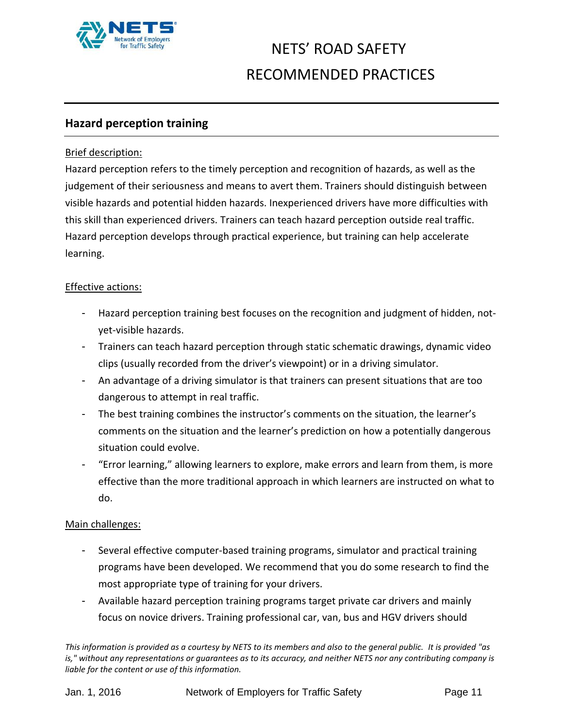

#### **Hazard perception training**

#### Brief description:

Hazard perception refers to the timely perception and recognition of hazards, as well as the judgement of their seriousness and means to avert them. Trainers should distinguish between visible hazards and potential hidden hazards. Inexperienced drivers have more difficulties with this skill than experienced drivers. Trainers can teach hazard perception outside real traffic. Hazard perception develops through practical experience, but training can help accelerate learning.

#### Effective actions:

- Hazard perception training best focuses on the recognition and judgment of hidden, notyet-visible hazards.
- Trainers can teach hazard perception through static schematic drawings, dynamic video clips (usually recorded from the driver's viewpoint) or in a driving simulator.
- An advantage of a driving simulator is that trainers can present situations that are too dangerous to attempt in real traffic.
- The best training combines the instructor's comments on the situation, the learner's comments on the situation and the learner's prediction on how a potentially dangerous situation could evolve.
- "Error learning," allowing learners to explore, make errors and learn from them, is more effective than the more traditional approach in which learners are instructed on what to do.

#### Main challenges:

- Several effective computer-based training programs, simulator and practical training programs have been developed. We recommend that you do some research to find the most appropriate type of training for your drivers.
- Available hazard perception training programs target private car drivers and mainly focus on novice drivers. Training professional car, van, bus and HGV drivers should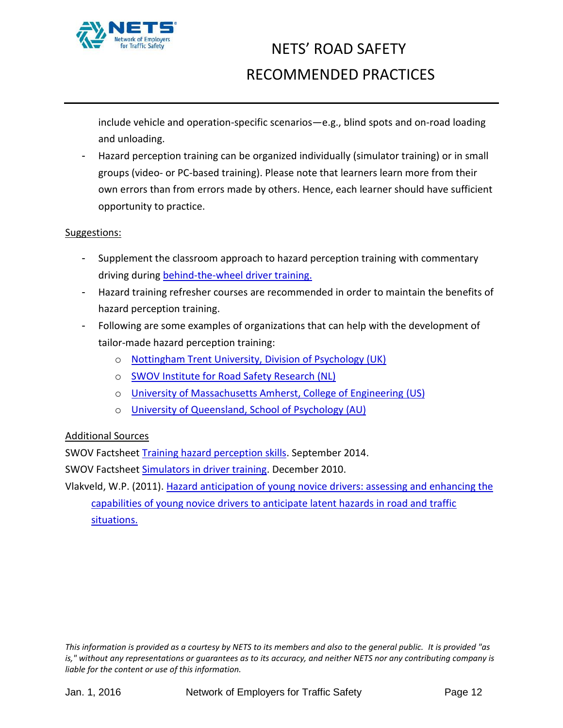

include vehicle and operation-specific scenarios—e.g., blind spots and on-road loading and unloading.

- Hazard perception training can be organized individually (simulator training) or in small groups (video- or PC-based training). Please note that learners learn more from their own errors than from errors made by others. Hence, each learner should have sufficient opportunity to practice.

#### Suggestions:

- Supplement the classroom approach to hazard perception training with commentary driving during behind-the-wheel driver training.
- Hazard training refresher courses are recommended in order to maintain the benefits of hazard perception training.
- Following are some examples of organizations that can help with the development of tailor-made hazard perception training:
	- o [Nottingham Trent University, Division of Psychology \(UK\)](https://www.ntu.ac.uk/soc/about/academic_divisions/psychology.html)
	- o [SWOV Institute for Road Safety Research \(NL\)](http://www.swov.nl/)
	- o [University of Massachusetts Amherst, College of Engineering \(US\)](https://engineering.umass.edu/)
	- o [University of Queensland, School of Psychology](https://www.psy.uq.edu.au/) (AU)

#### Additional Sources

SWOV Factsheet [Training hazard perception skills.](http://www.swov.nl/rapport/Factsheets/UK/FS_Training_hazard_perception.pdf) September 2014.

SWOV Factsheet [Simulators in driver training.](http://www.swov.nl/rapport/Factsheets/UK/FS_Simulators_in_driver_training.pdf) December 2010.

Vlakveld, W.P. (2011). [Hazard anticipation of young novice drivers: assessing and enhancing the](https://www.swov.nl/rapport/Proefschriften/Willem_Vlakveld.pdf)  [capabilities of young novice drivers to anticipate latent hazards in road and traffic](https://www.swov.nl/rapport/Proefschriften/Willem_Vlakveld.pdf)  [situations.](https://www.swov.nl/rapport/Proefschriften/Willem_Vlakveld.pdf)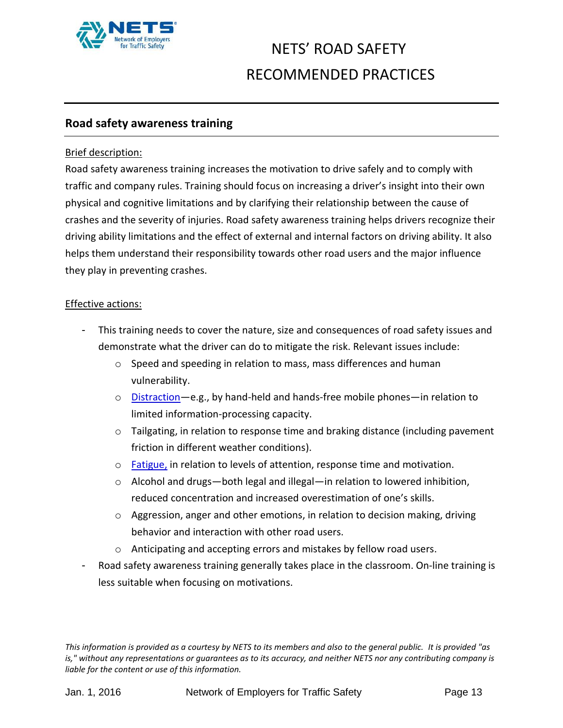

#### <span id="page-12-0"></span>**Road safety awareness training**

#### Brief description:

Road safety awareness training increases the motivation to drive safely and to comply with traffic and company rules. Training should focus on increasing a driver's insight into their own physical and cognitive limitations and by clarifying their relationship between the cause of crashes and the severity of injuries. Road safety awareness training helps drivers recognize their driving ability limitations and the effect of external and internal factors on driving ability. It also helps them understand their responsibility towards other road users and the major influence they play in preventing crashes.

#### Effective actions:

- This training needs to cover the nature, size and consequences of road safety issues and demonstrate what the driver can do to mitigate the risk. Relevant issues include:
	- o Speed and speeding in relation to mass, mass differences and human vulnerability.
	- o [Distraction](#page-21-0)—e.g., by hand-held and hands-free mobile phones—in relation to limited information-processing capacity.
	- $\circ$  Tailgating, in relation to response time and braking distance (including pavement friction in different weather conditions).
	- o [Fatigue,](#page-18-0) in relation to levels of attention, response time and motivation.
	- o Alcohol and drugs—both legal and illegal—in relation to lowered inhibition, reduced concentration and increased overestimation of one's skills.
	- o Aggression, anger and other emotions, in relation to decision making, driving behavior and interaction with other road users.
	- o Anticipating and accepting errors and mistakes by fellow road users.
- Road safety awareness training generally takes place in the classroom. On-line training is less suitable when focusing on motivations.

*This information is provided as a courtesy by NETS to its members and also to the general public. It is provided "as is," without any representations or guarantees as to its accuracy, and neither NETS nor any contributing company is liable for the content or use of this information.*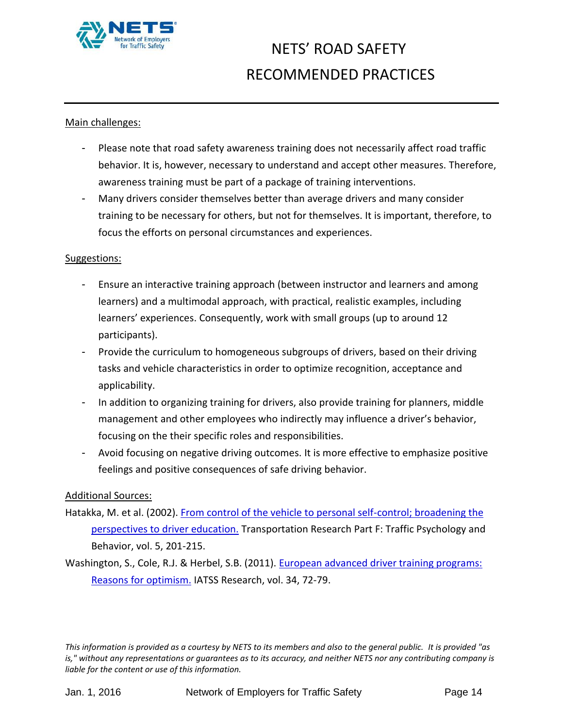

#### Main challenges:

- Please note that road safety awareness training does not necessarily affect road traffic behavior. It is, however, necessary to understand and accept other measures. Therefore, awareness training must be part of a package of training interventions.
- Many drivers consider themselves better than average drivers and many consider training to be necessary for others, but not for themselves. It is important, therefore, to focus the efforts on personal circumstances and experiences.

#### Suggestions:

- Ensure an interactive training approach (between instructor and learners and among learners) and a multimodal approach, with practical, realistic examples, including learners' experiences. Consequently, work with small groups (up to around 12 participants).
- Provide the curriculum to homogeneous subgroups of drivers, based on their driving tasks and vehicle characteristics in order to optimize recognition, acceptance and applicability.
- In addition to organizing training for drivers, also provide training for planners, middle management and other employees who indirectly may influence a driver's behavior, focusing on the their specific roles and responsibilities.
- Avoid focusing on negative driving outcomes. It is more effective to emphasize positive feelings and positive consequences of safe driving behavior.

#### Additional Sources:

- Hatakka, M. et al. (2002). [From control of the vehicle to personal self-control; broadening the](http://trid.trb.org/view.aspx?id=727229)  [perspectives to driver education.](http://trid.trb.org/view.aspx?id=727229) Transportation Research Part F: Traffic Psychology and Behavior, vol. 5, 201-215.
- Washington, S., Cole, R.J. & Herbel, S.B. (2011). [European advanced driver training programs:](http://www.sciencedirect.com/science/article/pii/S0386111211000033)  [Reasons for optimism.](http://www.sciencedirect.com/science/article/pii/S0386111211000033) IATSS Research, vol. 34, 72-79.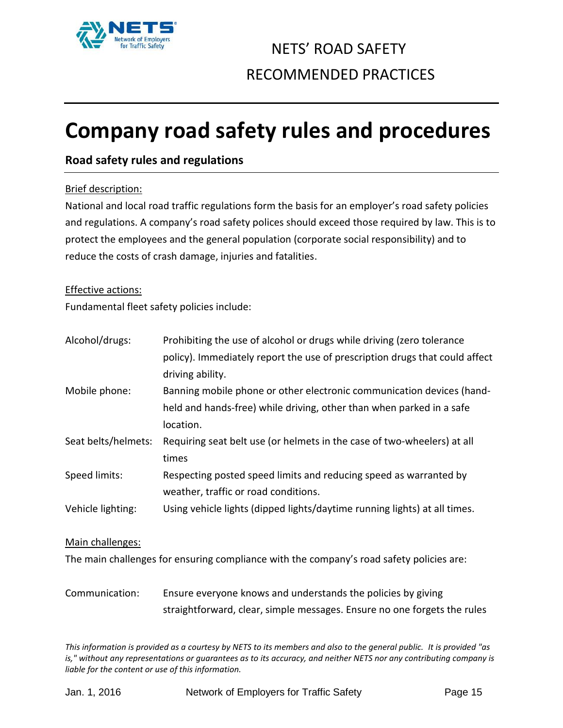

# <span id="page-14-0"></span>**Company road safety rules and procedures**

#### <span id="page-14-1"></span>**Road safety rules and regulations**

#### Brief description:

National and local road traffic regulations form the basis for an employer's road safety policies and regulations. A company's road safety polices should exceed those required by law. This is to protect the employees and the general population (corporate social responsibility) and to reduce the costs of crash damage, injuries and fatalities.

#### Effective actions:

Fundamental fleet safety policies include:

| Alcohol/drugs:      | Prohibiting the use of alcohol or drugs while driving (zero tolerance       |
|---------------------|-----------------------------------------------------------------------------|
|                     | policy). Immediately report the use of prescription drugs that could affect |
|                     | driving ability.                                                            |
| Mobile phone:       | Banning mobile phone or other electronic communication devices (hand-       |
|                     | held and hands-free) while driving, other than when parked in a safe        |
|                     | location.                                                                   |
| Seat belts/helmets: | Requiring seat belt use (or helmets in the case of two-wheelers) at all     |
|                     | times                                                                       |
| Speed limits:       | Respecting posted speed limits and reducing speed as warranted by           |
|                     | weather, traffic or road conditions.                                        |
| Vehicle lighting:   | Using vehicle lights (dipped lights/daytime running lights) at all times.   |
| Main challenges:    |                                                                             |

The main challenges for ensuring compliance with the company's road safety policies are:

Communication: Ensure everyone knows and understands the policies by giving straightforward, clear, simple messages. Ensure no one forgets the rules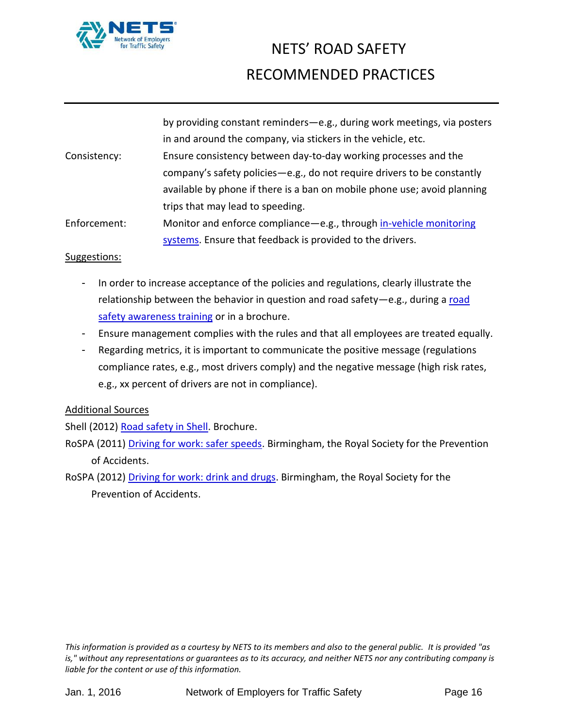

|              | by providing constant reminders-e.g., during work meetings, via posters   |
|--------------|---------------------------------------------------------------------------|
|              | in and around the company, via stickers in the vehicle, etc.              |
| Consistency: | Ensure consistency between day-to-day working processes and the           |
|              | company's safety policies - e.g., do not require drivers to be constantly |
|              | available by phone if there is a ban on mobile phone use; avoid planning  |
|              | trips that may lead to speeding.                                          |
| Enforcement: | Monitor and enforce compliance - e.g., through in-vehicle monitoring      |
|              | systems. Ensure that feedback is provided to the drivers.                 |

#### Suggestions:

- In order to increase acceptance of the policies and regulations, clearly illustrate the relationship between the behavior in question and [road](#page-12-0) safety-e.g., during a road [safety awareness training](#page-12-0) or in a brochure.
- Ensure management complies with the rules and that all employees are treated equally.
- Regarding metrics, it is important to communicate the positive message (regulations compliance rates, e.g., most drivers comply) and the negative message (high risk rates, e.g., xx percent of drivers are not in compliance).

#### Additional Sources

Shell (2012) [Road safety in Shell.](http://s03.static-shell.com/content/dam/shell-new/local/corporate/corporate/downloads/pdf/road-safety-brochure.pdf) Brochure.

- RoSPA (2011) [Driving for work: safer speeds.](http://www.rospa.com/rospaweb/docs/advice-services/road-safety/employers/work-safer-speed.pdf) Birmingham, the Royal Society for the Prevention of Accidents.
- RoSPA (2012) [Driving for work: drink and drugs.](http://www.rospa.com/rospaweb/docs/advice-services/road-safety/employers/work-drink-drugs.pdf) Birmingham, the Royal Society for the Prevention of Accidents.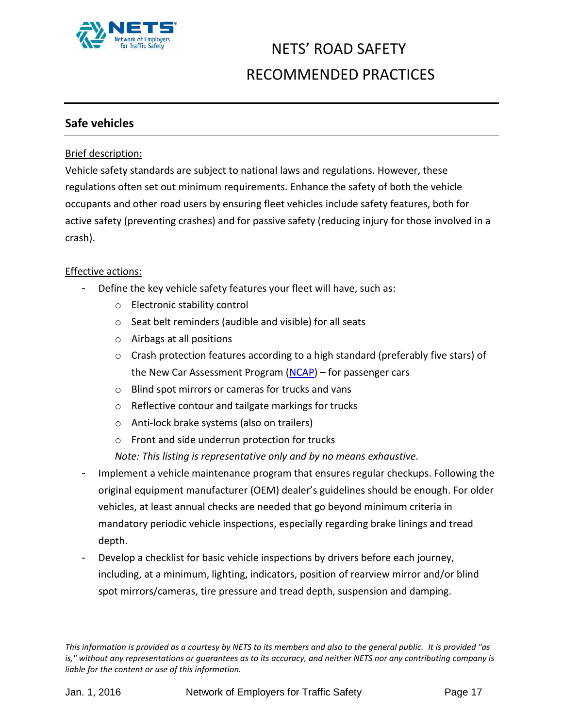

#### <span id="page-16-0"></span>**Safe vehicles**

#### Brief description:

Vehicle safety standards are subject to national laws and regulations. However, these regulations often set out minimum requirements. Enhance the safety of both the vehicle occupants and other road users by ensuring fleet vehicles include safety features, both for active safety (preventing crashes) and for passive safety (reducing injury for those involved in a crash).

#### Effective actions:

- Define the key vehicle safety features your fleet will have, such as:
	- o Electronic stability control
	- o Seat belt reminders (audible and visible) for all seats
	- o Airbags at all positions
	- $\circ$  Crash protection features according to a high standard (preferably five stars) of the New Car Assessment Program [\(NCAP\)](http://www.globalncap.org/) – for passenger cars
	- o Blind spot mirrors or cameras for trucks and vans
	- o Reflective contour and tailgate markings for trucks
	- o Anti-lock brake systems (also on trailers)
	- o Front and side underrun protection for trucks

*Note: This listing is representative only and by no means exhaustive.*

- Implement a vehicle maintenance program that ensures regular checkups. Following the original equipment manufacturer (OEM) dealer's guidelines should be enough. For older vehicles, at least annual checks are needed that go beyond minimum criteria in mandatory periodic vehicle inspections, especially regarding brake linings and tread depth.
- Develop a checklist for basic vehicle inspections by drivers before each journey, including, at a minimum, lighting, indicators, position of rearview mirror and/or blind spot mirrors/cameras, tire pressure and tread depth, suspension and damping.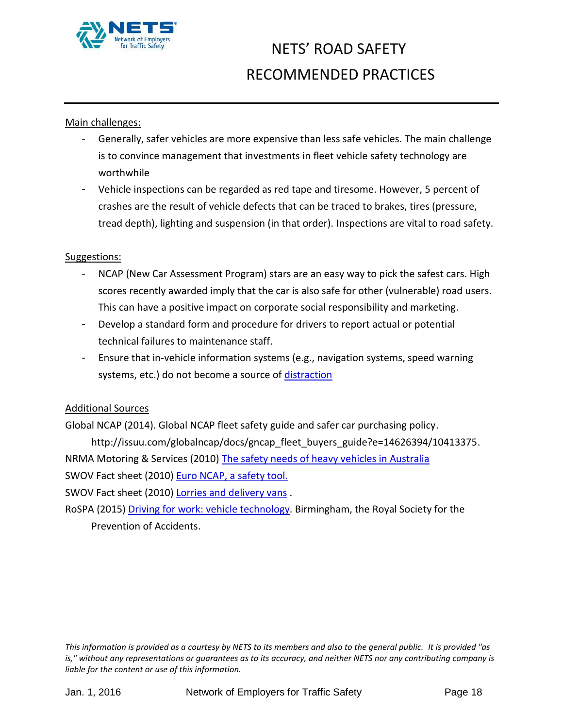

#### Main challenges:

- Generally, safer vehicles are more expensive than less safe vehicles. The main challenge is to convince management that investments in fleet vehicle safety technology are worthwhile
- Vehicle inspections can be regarded as red tape and tiresome. However, 5 percent of crashes are the result of vehicle defects that can be traced to brakes, tires (pressure, tread depth), lighting and suspension (in that order). Inspections are vital to road safety.

#### Suggestions:

- NCAP (New Car Assessment Program) stars are an easy way to pick the safest cars. High scores recently awarded imply that the car is also safe for other (vulnerable) road users. This can have a positive impact on corporate social responsibility and marketing.
- Develop a standard form and procedure for drivers to report actual or potential technical failures to maintenance staff.
- Ensure that in-vehicle information systems (e.g., navigation systems, speed warning systems, etc.) do not become a source of [distraction](#page-21-0)

#### Additional Sources

Global NCAP (2014). Global NCAP fleet safety guide and safer car purchasing policy. http://issuu.com/globalncap/docs/gncap\_fleet\_buyers\_guide?e=14626394/10413375. NRMA Motoring & Services (2010) [The safety needs of heavy vehicles in Australia](http://www.mynrma.com.au/media/Heavy_Vehicle_Safety_Report_March_2010.pdf)  SWOV Fact sheet (2010) [Euro NCAP, a safety tool.](http://www.swov.nl/rapport/Factsheets/UK/FS_EuroNCAP_UK.pdf)

SWOV Fact sheet (2010) [Lorries and delivery vans](http://www.swov.nl/rapport/Factsheets/UK/FS_Lorries_and_vans.pdf).

RoSPA (2015) [Driving for work: vehicle technology.](http://www.rospa.com/rospaweb/docs/advice-services/road-safety/employers/work-vehicle-technology.pdf) Birmingham, the Royal Society for the Prevention of Accidents.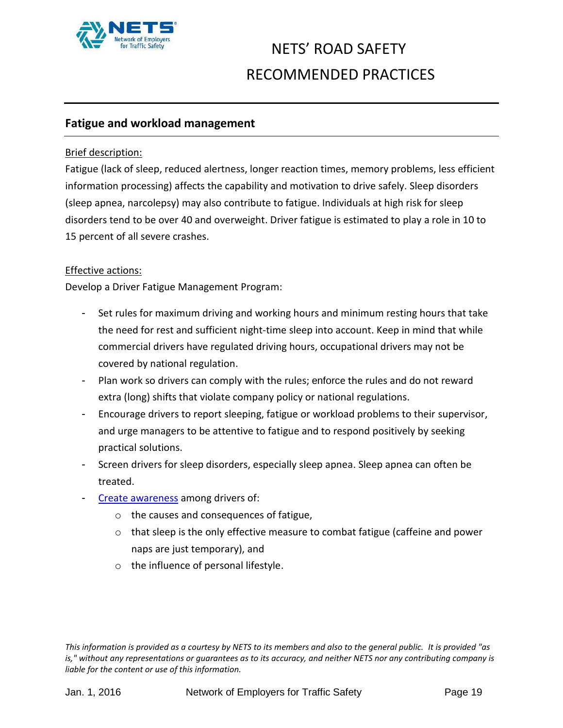

#### <span id="page-18-0"></span>**Fatigue and workload management**

#### Brief description:

Fatigue (lack of sleep, reduced alertness, longer reaction times, memory problems, less efficient information processing) affects the capability and motivation to drive safely. Sleep disorders (sleep apnea, narcolepsy) may also contribute to fatigue. Individuals at high risk for sleep disorders tend to be over 40 and overweight. Driver fatigue is estimated to play a role in 10 to 15 percent of all severe crashes.

#### Effective actions:

Develop a Driver Fatigue Management Program:

- Set rules for maximum driving and working hours and minimum resting hours that take the need for rest and sufficient night-time sleep into account. Keep in mind that while commercial drivers have regulated driving hours, occupational drivers may not be covered by national regulation.
- Plan work so drivers can comply with the rules; enforce the rules and do not reward extra (long) shifts that violate company policy or national regulations.
- Encourage drivers to report sleeping, fatigue or workload problems to their supervisor, and urge managers to be attentive to fatigue and to respond positively by seeking practical solutions.
- Screen drivers for sleep disorders, especially sleep apnea. Sleep apnea can often be treated.
- Create [awareness](#page-12-0) among drivers of:
	- o the causes and consequences of fatigue,
	- $\circ$  that sleep is the only effective measure to combat fatigue (caffeine and power naps are just temporary), and
	- o the influence of personal lifestyle.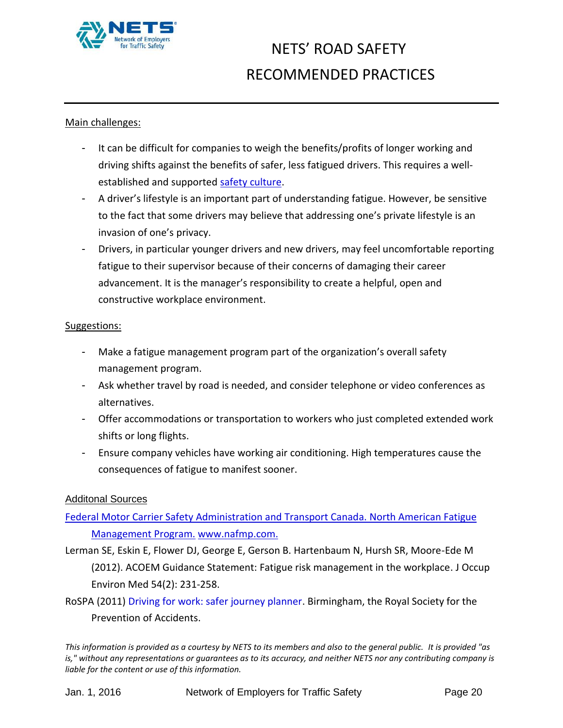

#### Main challenges:

- It can be difficult for companies to weigh the benefits/profits of longer working and driving shifts against the benefits of safer, less fatigued drivers. This requires a wellestablished and supported [safety culture.](#page-5-0)
- A driver's lifestyle is an important part of understanding fatigue. However, be sensitive to the fact that some drivers may believe that addressing one's private lifestyle is an invasion of one's privacy.
- Drivers, in particular younger drivers and new drivers, may feel uncomfortable reporting fatigue to their supervisor because of their concerns of damaging their career advancement. It is the manager's responsibility to create a helpful, open and constructive workplace environment.

#### Suggestions:

- Make a fatigue management program part of the organization's overall safety management program.
- Ask whether travel by road is needed, and consider telephone or video conferences as alternatives.
- Offer accommodations or transportation to workers who just completed extended work shifts or long flights.
- Ensure company vehicles have working air conditioning. High temperatures cause the consequences of fatigue to manifest sooner.

#### Additonal Sources

#### [Federal Motor Carrier Safety Administration and Transport Canada. North American Fatigue](http://www.nafmp.com/)  [Management Program.](http://www.nafmp.com/) [www.nafmp.com.](http://www.nafmp.com/)

- Lerman SE, Eskin E, Flower DJ, George E, Gerson B. Hartenbaum N, Hursh SR, Moore-Ede M (2012). ACOEM Guidance Statement: Fatigue risk management in the workplace. J Occup Environ Med 54(2): 231-258.
- RoSPA (2011) [Driving for work: safer journey planner.](https://www.rospa.com/rospaweb/docs/advice-services/road-safety/drivers/work-safe-journey.pdf) Birmingham, the Royal Society for the Prevention of Accidents.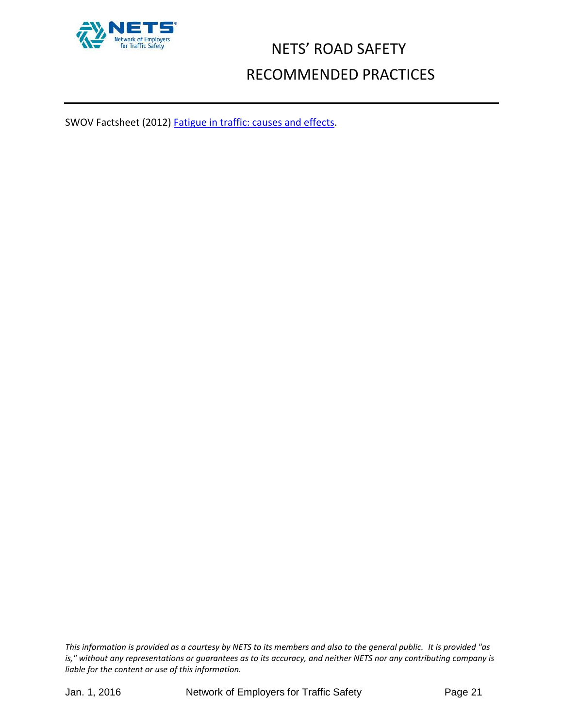

SWOV Factsheet (2012) **Fatigue in traffic: causes and effects.**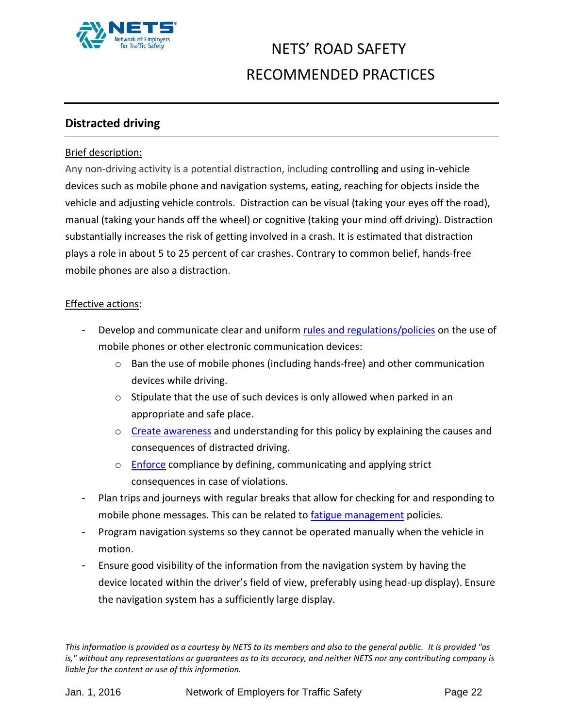

#### <span id="page-21-0"></span>**Distracted driving**

#### Brief description:

Any non-driving activity is a potential distraction, including controlling and using in-vehicle devices such as mobile phone and navigation systems, eating, reaching for objects inside the vehicle and adjusting vehicle controls. Distraction can be visual (taking your eyes off the road), manual (taking your hands off the wheel) or cognitive (taking your mind off driving). Distraction substantially increases the risk of getting involved in a crash. It is estimated that distraction plays a role in about 5 to 25 percent of car crashes. Contrary to common belief, hands-free mobile phones are also a distraction.

#### Effective actions:

- Develop and communicate clear and uniform [rules and regulations/](#page-14-1)policies on the use of mobile phones or other electronic communication devices:
	- o Ban the use of mobile phones (including hands-free) and other communication devices while driving.
	- o Stipulate that the use of such devices is only allowed when parked in an appropriate and safe place.
	- $\circ$  [Create awareness](#page-12-0) and understanding for this policy by explaining the causes and consequences of distracted driving.
	- o [Enforce](#page-22-0) compliance by defining, communicating and applying strict consequences in case of violations.
- Plan trips and journeys with regular breaks that allow for checking for and responding to mobile phone messages. This can be related to [fatigue management](#page-18-0) policies.
- Program navigation systems so they cannot be operated manually when the vehicle in motion.
- Ensure good visibility of the information from the navigation system by having the device located within the driver's field of view, preferably using head-up display). Ensure the navigation system has a sufficiently large display.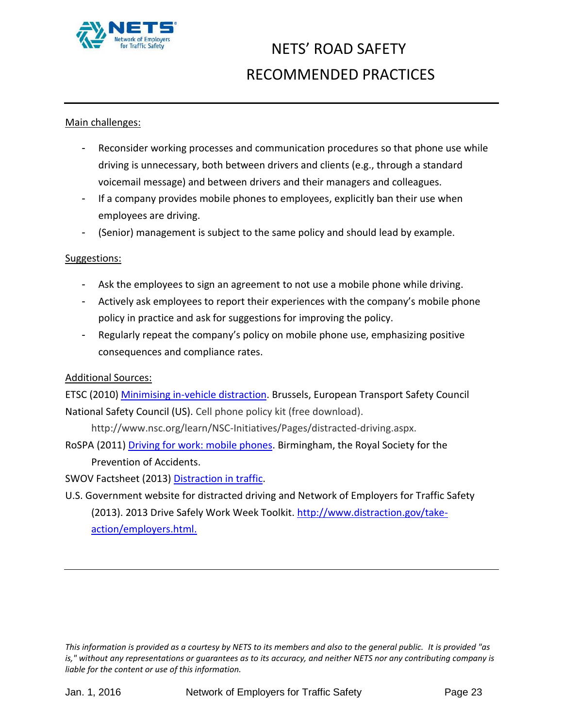

#### Main challenges:

- Reconsider working processes and communication procedures so that phone use while driving is unnecessary, both between drivers and clients (e.g., through a standard voicemail message) and between drivers and their managers and colleagues.
- If a company provides mobile phones to employees, explicitly ban their use when employees are driving.
- (Senior) management is subject to the same policy and should lead by example.

#### Suggestions:

- Ask the employees to sign an agreement to not use a mobile phone while driving.
- Actively ask employees to report their experiences with the company's mobile phone policy in practice and ask for suggestions for improving the policy.
- Regularly repeat the company's policy on mobile phone use, emphasizing positive consequences and compliance rates.

#### Additional Sources:

ETSC (2010[\) Minimising in-vehicle distraction.](http://etsc.eu/wp-content/uploads/PRAISE_Thematic_Report_Moving-In-Vehicle-Distraction_21_December-2010.pdf) Brussels, European Transport Safety Council National Safety Council (US). Cell phone policy kit (free download).

http://www.nsc.org/learn/NSC-Initiatives/Pages/distracted-driving.aspx.

RoSPA (2011) [Driving for work: mobile phones.](https://www.rospa.com/rospaweb/docs/advice-services/road-safety/employers/work-mobile-phones.pdf) Birmingham, the Royal Society for the Prevention of Accidents.

SWOV Factsheet (2013) [Distraction in traffic.](http://www.swov.nl/rapport/Factsheets/UK/FS_Distraction.pdf)

<span id="page-22-0"></span>U.S. Government website for distracted driving and Network of Employers for Traffic Safety (2013). 2013 Drive Safely Work Week Toolkit. [http://www.distraction.gov/take](http://www.distraction.gov/take-action/employers.html)[action/employers.html.](http://www.distraction.gov/take-action/employers.html)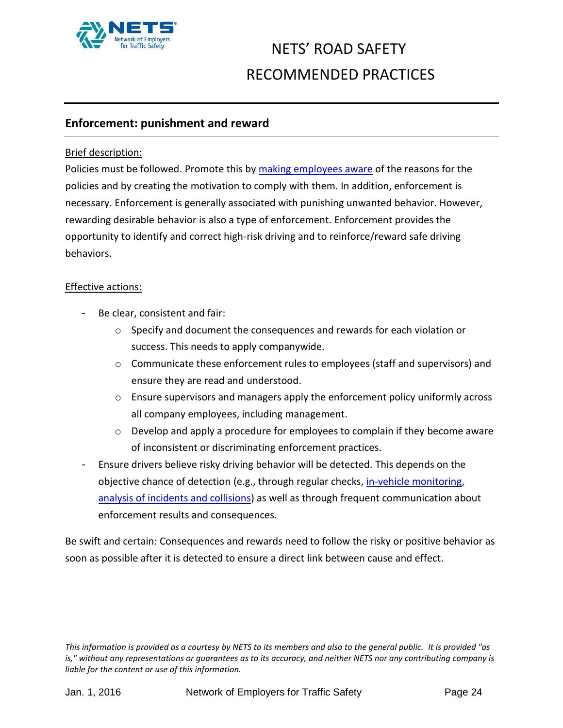

#### **Enforcement: punishment and reward**

#### Brief description:

Policies must be followed. Promote this by making [employees aware](#page-12-0) of the reasons for the policies and by creating the motivation to comply with them. In addition, enforcement is necessary. Enforcement is generally associated with punishing unwanted behavior. However, rewarding desirable behavior is also a type of enforcement. Enforcement provides the opportunity to identify and correct high-risk driving and to reinforce/reward safe driving behaviors.

#### Effective actions:

- Be clear, consistent and fair:
	- o Specify and document the consequences and rewards for each violation or success. This needs to apply companywide.
	- o Communicate these enforcement rules to employees (staff and supervisors) and ensure they are read and understood.
	- o Ensure supervisors and managers apply the enforcement policy uniformly across all company employees, including management.
	- o Develop and apply a procedure for employees to complain if they become aware of inconsistent or discriminating enforcement practices.
- Ensure drivers believe risky driving behavior will be detected. This depends on the objective chance of detection (e.g., through regular checks, [in-vehicle monitoring,](#page-27-0) [analysis of incidents and collisions\)](#page-25-1) as well as through frequent communication about enforcement results and consequences.

Be swift and certain: Consequences and rewards need to follow the risky or positive behavior as soon as possible after it is detected to ensure a direct link between cause and effect.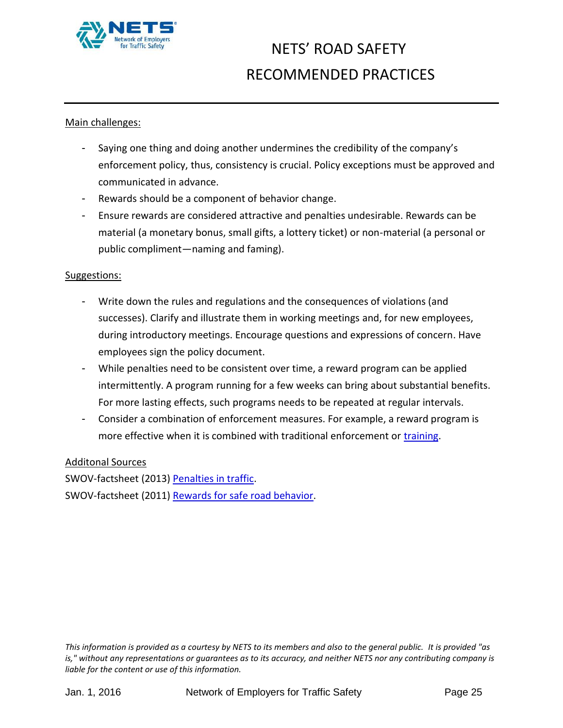

#### Main challenges:

- Saying one thing and doing another undermines the credibility of the company's enforcement policy, thus, consistency is crucial. Policy exceptions must be approved and communicated in advance.
- Rewards should be a component of behavior change.
- Ensure rewards are considered attractive and penalties undesirable. Rewards can be material (a monetary bonus, small gifts, a lottery ticket) or non-material (a personal or public compliment—naming and faming).

#### Suggestions:

- Write down the rules and regulations and the consequences of violations (and successes). Clarify and illustrate them in working meetings and, for new employees, during introductory meetings. Encourage questions and expressions of concern. Have employees sign the policy document.
- While penalties need to be consistent over time, a reward program can be applied intermittently. A program running for a few weeks can bring about substantial benefits. For more lasting effects, such programs needs to be repeated at regular intervals.
- Consider a combination of enforcement measures. For example, a reward program is more effective when it is combined with traditional enforcement or [training.](#page-8-0)

#### Additonal Sources

SWOV-factsheet (2013) [Penalties in traffic.](http://www.swov.nl/rapport/Factsheets/UK/FS_Penalties_in_traffic.pdf) SWOV-factsheet (2011) [Rewards for safe road behavior.](http://www.swov.nl/rapport/Factsheets/UK/FS_Rewards.pdf)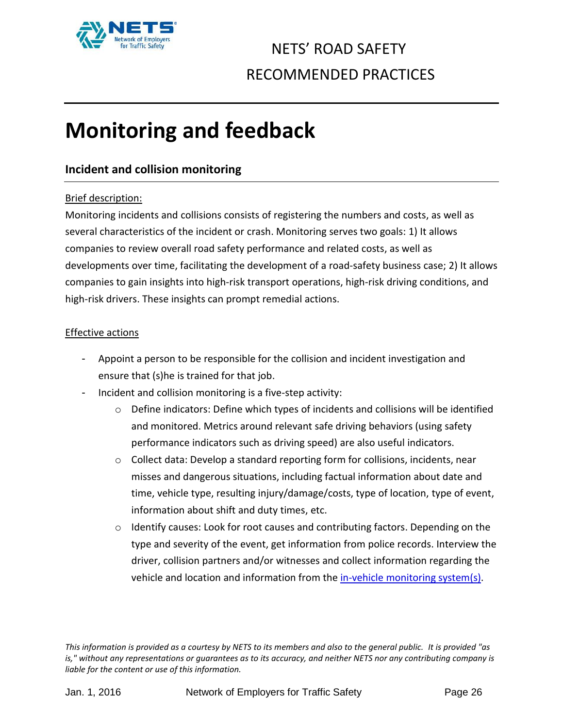

# <span id="page-25-0"></span>**Monitoring and feedback**

#### <span id="page-25-1"></span>**Incident and collision monitoring**

#### Brief description:

Monitoring incidents and collisions consists of registering the numbers and costs, as well as several characteristics of the incident or crash. Monitoring serves two goals: 1) It allows companies to review overall road safety performance and related costs, as well as developments over time, facilitating the development of a road-safety business case; 2) It allows companies to gain insights into high-risk transport operations, high-risk driving conditions, and high-risk drivers. These insights can prompt remedial actions.

#### Effective actions

- Appoint a person to be responsible for the collision and incident investigation and ensure that (s)he is trained for that job.
- Incident and collision monitoring is a five-step activity:
	- o Define indicators: Define which types of incidents and collisions will be identified and monitored. Metrics around relevant safe driving behaviors (using safety performance indicators such as driving speed) are also useful indicators.
	- o Collect data: Develop a standard reporting form for collisions, incidents, near misses and dangerous situations, including factual information about date and time, vehicle type, resulting injury/damage/costs, type of location, type of event, information about shift and duty times, etc.
	- o Identify causes: Look for root causes and contributing factors. Depending on the type and severity of the event, get information from police records. Interview the driver, collision partners and/or witnesses and collect information regarding the vehicle and location and information from the [in-vehicle monitoring system\(](#page-27-0)s).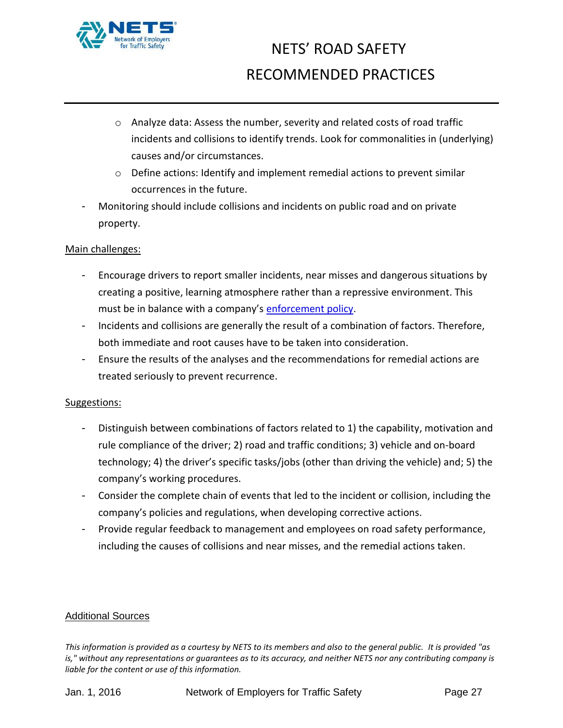

- $\circ$  Analyze data: Assess the number, severity and related costs of road traffic incidents and collisions to identify trends. Look for commonalities in (underlying) causes and/or circumstances.
- o Define actions: Identify and implement remedial actions to prevent similar occurrences in the future.
- Monitoring should include collisions and incidents on public road and on private property.

#### Main challenges:

- Encourage drivers to report smaller incidents, near misses and dangerous situations by creating a positive, learning atmosphere rather than a repressive environment. This must be in balance with a company's [enforcement policy.](#page-22-0)
- Incidents and collisions are generally the result of a combination of factors. Therefore, both immediate and root causes have to be taken into consideration.
- Ensure the results of the analyses and the recommendations for remedial actions are treated seriously to prevent recurrence.

#### Suggestions:

- Distinguish between combinations of factors related to 1) the capability, motivation and rule compliance of the driver; 2) road and traffic conditions; 3) vehicle and on-board technology; 4) the driver's specific tasks/jobs (other than driving the vehicle) and; 5) the company's working procedures.
- Consider the complete chain of events that led to the incident or collision, including the company's policies and regulations, when developing corrective actions.
- Provide regular feedback to management and employees on road safety performance, including the causes of collisions and near misses, and the remedial actions taken.

#### Additional Sources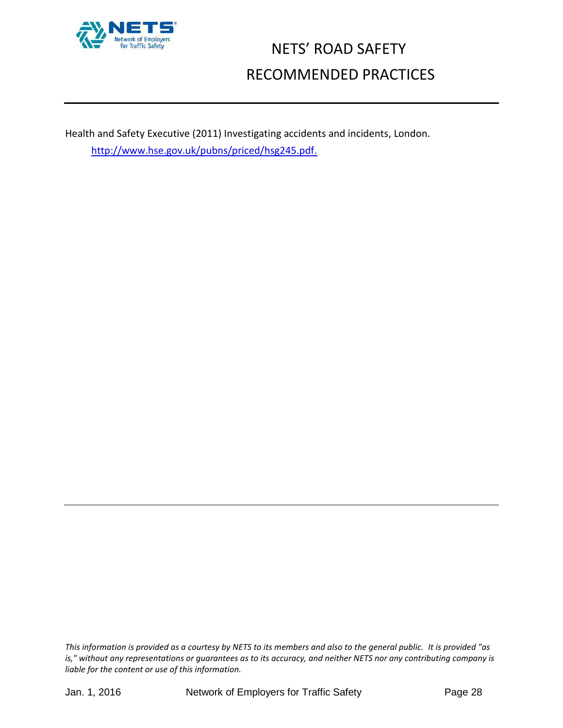

<span id="page-27-0"></span>Health and Safety Executive (2011) Investigating accidents and incidents, London. [http://www.hse.gov.uk/pubns/priced/hsg245.pdf.](http://www.hse.gov.uk/pubns/priced/hsg245.pdf)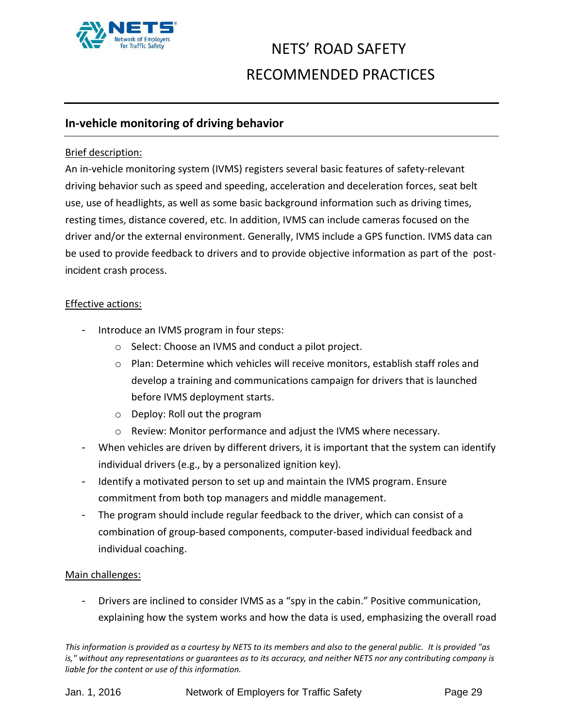

#### **In-vehicle monitoring of driving behavior**

#### Brief description:

An in-vehicle monitoring system (IVMS) registers several basic features of safety-relevant driving behavior such as speed and speeding, acceleration and deceleration forces, seat belt use, use of headlights, as well as some basic background information such as driving times, resting times, distance covered, etc. In addition, IVMS can include cameras focused on the driver and/or the external environment. Generally, IVMS include a GPS function. IVMS data can be used to provide feedback to drivers and to provide objective information as part of the postincident crash process.

#### Effective actions:

- Introduce an IVMS program in four steps:
	- o Select: Choose an IVMS and conduct a pilot project.
	- o Plan: Determine which vehicles will receive monitors, establish staff roles and develop a training and communications campaign for drivers that is launched before IVMS deployment starts.
	- o Deploy: Roll out the program
	- o Review: Monitor performance and adjust the IVMS where necessary.
- When vehicles are driven by different drivers, it is important that the system can identify individual drivers (e.g., by a personalized ignition key).
- Identify a motivated person to set up and maintain the IVMS program. Ensure commitment from both top managers and middle management.
- The program should include regular feedback to the driver, which can consist of a combination of group-based components, computer-based individual feedback and individual coaching.

#### Main challenges:

Drivers are inclined to consider IVMS as a "spy in the cabin." Positive communication, explaining how the system works and how the data is used, emphasizing the overall road